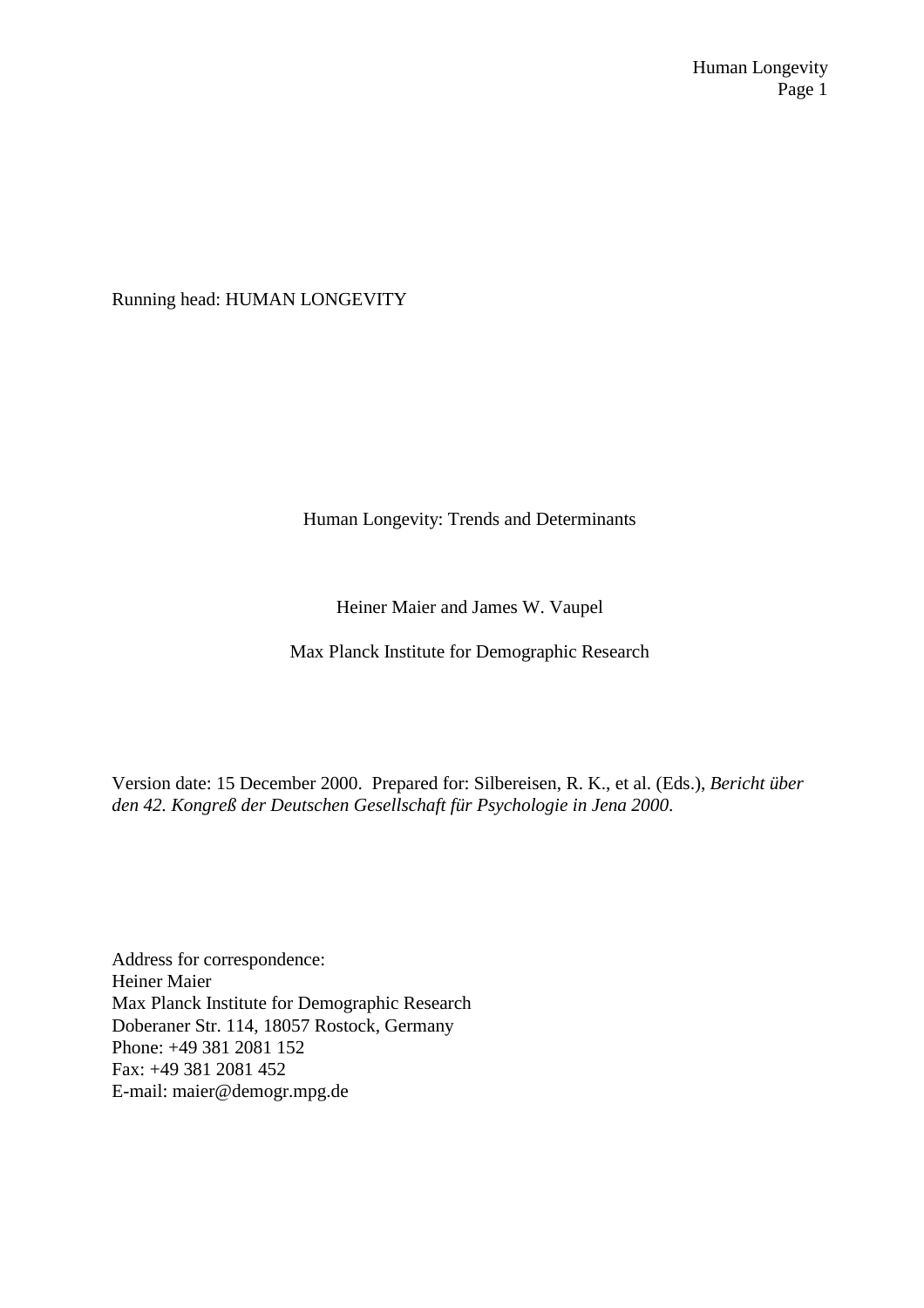Running head: HUMAN LONGEVITY

Human Longevity: Trends and Determinants

Heiner Maier and James W. Vaupel

Max Planck Institute for Demographic Research

Version date: 15 December 2000. Prepared for: Silbereisen, R. K., et al. (Eds.), *Bericht über den 42. Kongreß der Deutschen Gesellschaft für Psychologie in Jena 2000*.

Address for correspondence: Heiner Maier Max Planck Institute for Demographic Research Doberaner Str. 114, 18057 Rostock, Germany Phone: +49 381 2081 152 Fax: +49 381 2081 452 E-mail: maier@demogr.mpg.de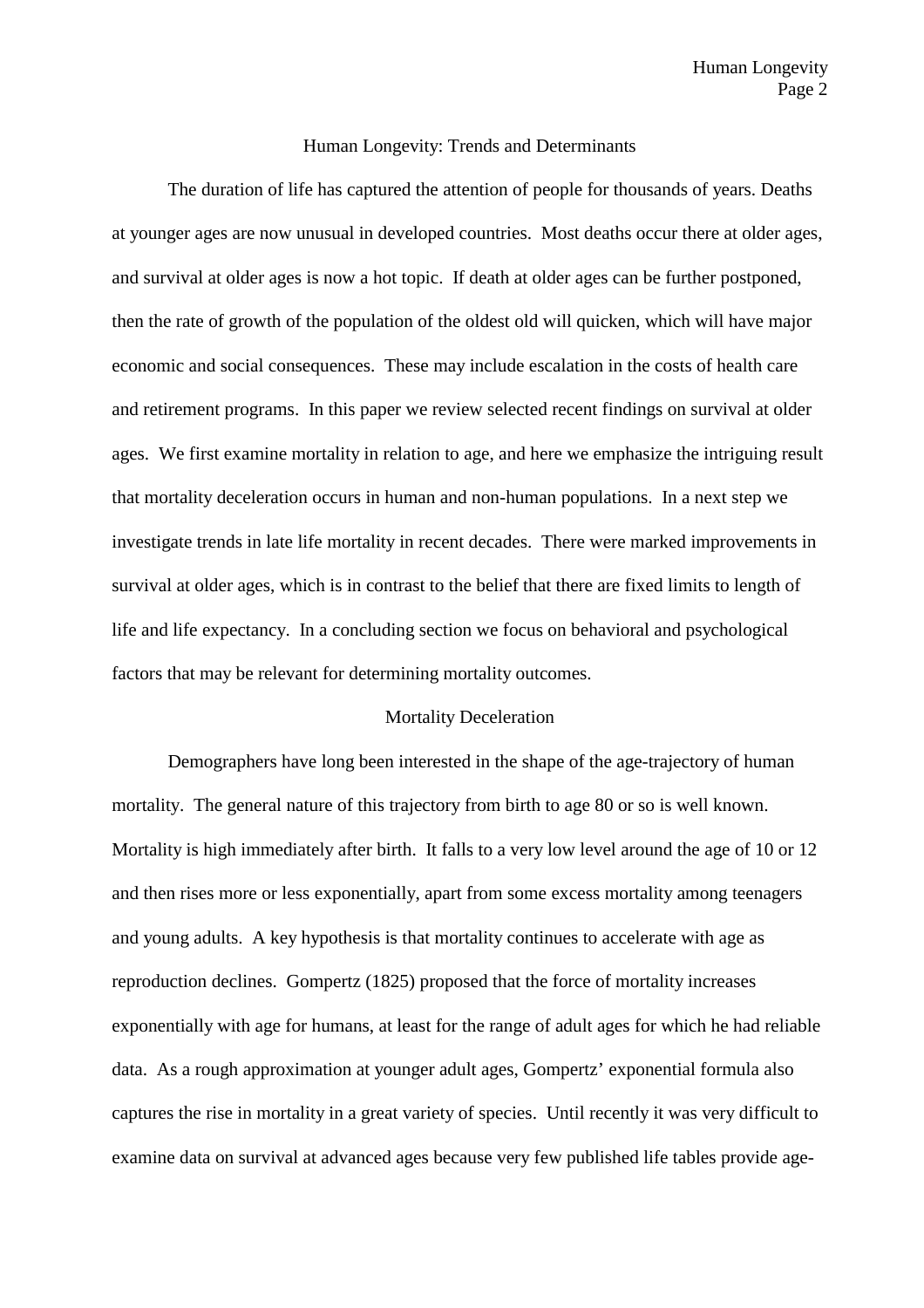#### Human Longevity: Trends and Determinants

The duration of life has captured the attention of people for thousands of years. Deaths at younger ages are now unusual in developed countries. Most deaths occur there at older ages, and survival at older ages is now a hot topic. If death at older ages can be further postponed, then the rate of growth of the population of the oldest old will quicken, which will have major economic and social consequences. These may include escalation in the costs of health care and retirement programs. In this paper we review selected recent findings on survival at older ages. We first examine mortality in relation to age, and here we emphasize the intriguing result that mortality deceleration occurs in human and non-human populations. In a next step we investigate trends in late life mortality in recent decades. There were marked improvements in survival at older ages, which is in contrast to the belief that there are fixed limits to length of life and life expectancy. In a concluding section we focus on behavioral and psychological factors that may be relevant for determining mortality outcomes.

#### Mortality Deceleration

Demographers have long been interested in the shape of the age-trajectory of human mortality. The general nature of this trajectory from birth to age 80 or so is well known. Mortality is high immediately after birth. It falls to a very low level around the age of 10 or 12 and then rises more or less exponentially, apart from some excess mortality among teenagers and young adults. A key hypothesis is that mortality continues to accelerate with age as reproduction declines. Gompertz (1825) proposed that the force of mortality increases exponentially with age for humans, at least for the range of adult ages for which he had reliable data. As a rough approximation at younger adult ages, Gompertz' exponential formula also captures the rise in mortality in a great variety of species. Until recently it was very difficult to examine data on survival at advanced ages because very few published life tables provide age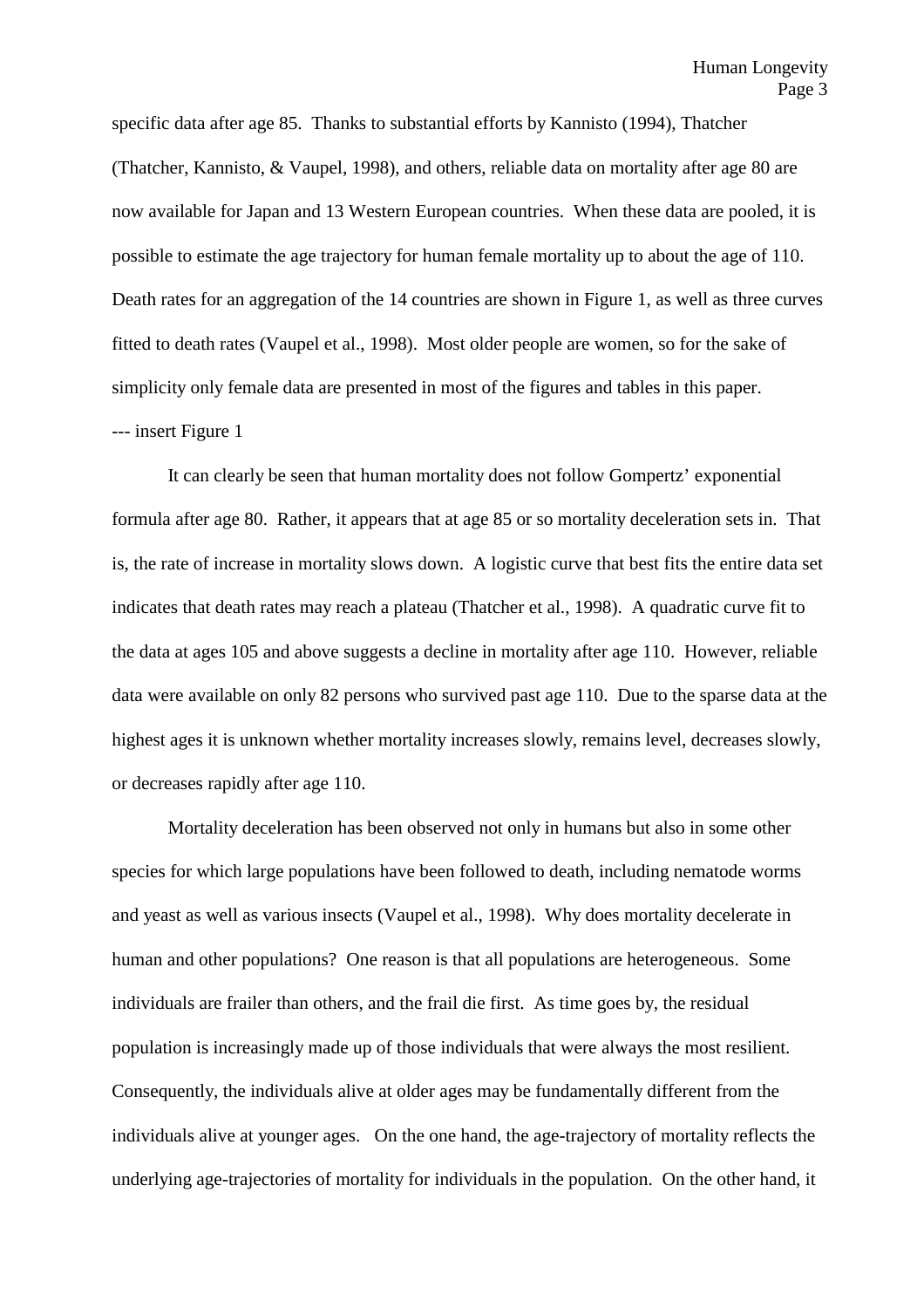specific data after age 85. Thanks to substantial efforts by Kannisto (1994), Thatcher (Thatcher, Kannisto, & Vaupel, 1998), and others, reliable data on mortality after age 80 are now available for Japan and 13 Western European countries. When these data are pooled, it is possible to estimate the age trajectory for human female mortality up to about the age of 110. Death rates for an aggregation of the 14 countries are shown in Figure 1, as well as three curves fitted to death rates (Vaupel et al., 1998). Most older people are women, so for the sake of simplicity only female data are presented in most of the figures and tables in this paper. --- insert Figure 1

It can clearly be seen that human mortality does not follow Gompertz' exponential formula after age 80. Rather, it appears that at age 85 or so mortality deceleration sets in. That is, the rate of increase in mortality slows down. A logistic curve that best fits the entire data set indicates that death rates may reach a plateau (Thatcher et al., 1998). A quadratic curve fit to the data at ages 105 and above suggests a decline in mortality after age 110. However, reliable data were available on only 82 persons who survived past age 110. Due to the sparse data at the highest ages it is unknown whether mortality increases slowly, remains level, decreases slowly, or decreases rapidly after age 110.

Mortality deceleration has been observed not only in humans but also in some other species for which large populations have been followed to death, including nematode worms and yeast as well as various insects (Vaupel et al., 1998). Why does mortality decelerate in human and other populations? One reason is that all populations are heterogeneous. Some individuals are frailer than others, and the frail die first. As time goes by, the residual population is increasingly made up of those individuals that were always the most resilient. Consequently, the individuals alive at older ages may be fundamentally different from the individuals alive at younger ages. On the one hand, the age-trajectory of mortality reflects the underlying age-trajectories of mortality for individuals in the population. On the other hand, it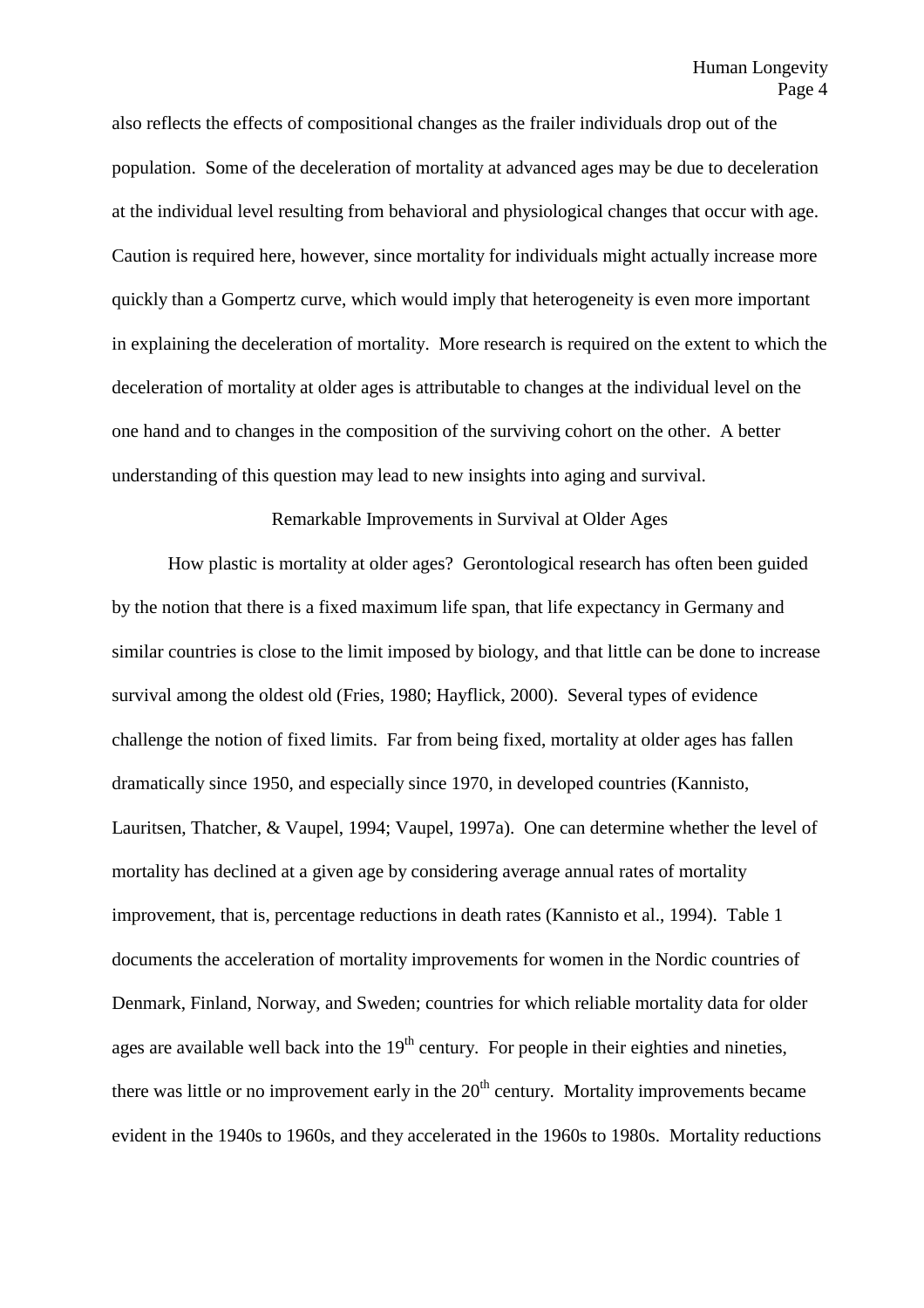also reflects the effects of compositional changes as the frailer individuals drop out of the population. Some of the deceleration of mortality at advanced ages may be due to deceleration at the individual level resulting from behavioral and physiological changes that occur with age. Caution is required here, however, since mortality for individuals might actually increase more quickly than a Gompertz curve, which would imply that heterogeneity is even more important in explaining the deceleration of mortality. More research is required on the extent to which the deceleration of mortality at older ages is attributable to changes at the individual level on the one hand and to changes in the composition of the surviving cohort on the other. A better understanding of this question may lead to new insights into aging and survival.

#### Remarkable Improvements in Survival at Older Ages

How plastic is mortality at older ages? Gerontological research has often been guided by the notion that there is a fixed maximum life span, that life expectancy in Germany and similar countries is close to the limit imposed by biology, and that little can be done to increase survival among the oldest old (Fries, 1980; Hayflick, 2000). Several types of evidence challenge the notion of fixed limits. Far from being fixed, mortality at older ages has fallen dramatically since 1950, and especially since 1970, in developed countries (Kannisto, Lauritsen, Thatcher, & Vaupel, 1994; Vaupel, 1997a). One can determine whether the level of mortality has declined at a given age by considering average annual rates of mortality improvement, that is, percentage reductions in death rates (Kannisto et al., 1994). Table 1 documents the acceleration of mortality improvements for women in the Nordic countries of Denmark, Finland, Norway, and Sweden; countries for which reliable mortality data for older ages are available well back into the  $19<sup>th</sup>$  century. For people in their eighties and nineties, there was little or no improvement early in the  $20<sup>th</sup>$  century. Mortality improvements became evident in the 1940s to 1960s, and they accelerated in the 1960s to 1980s. Mortality reductions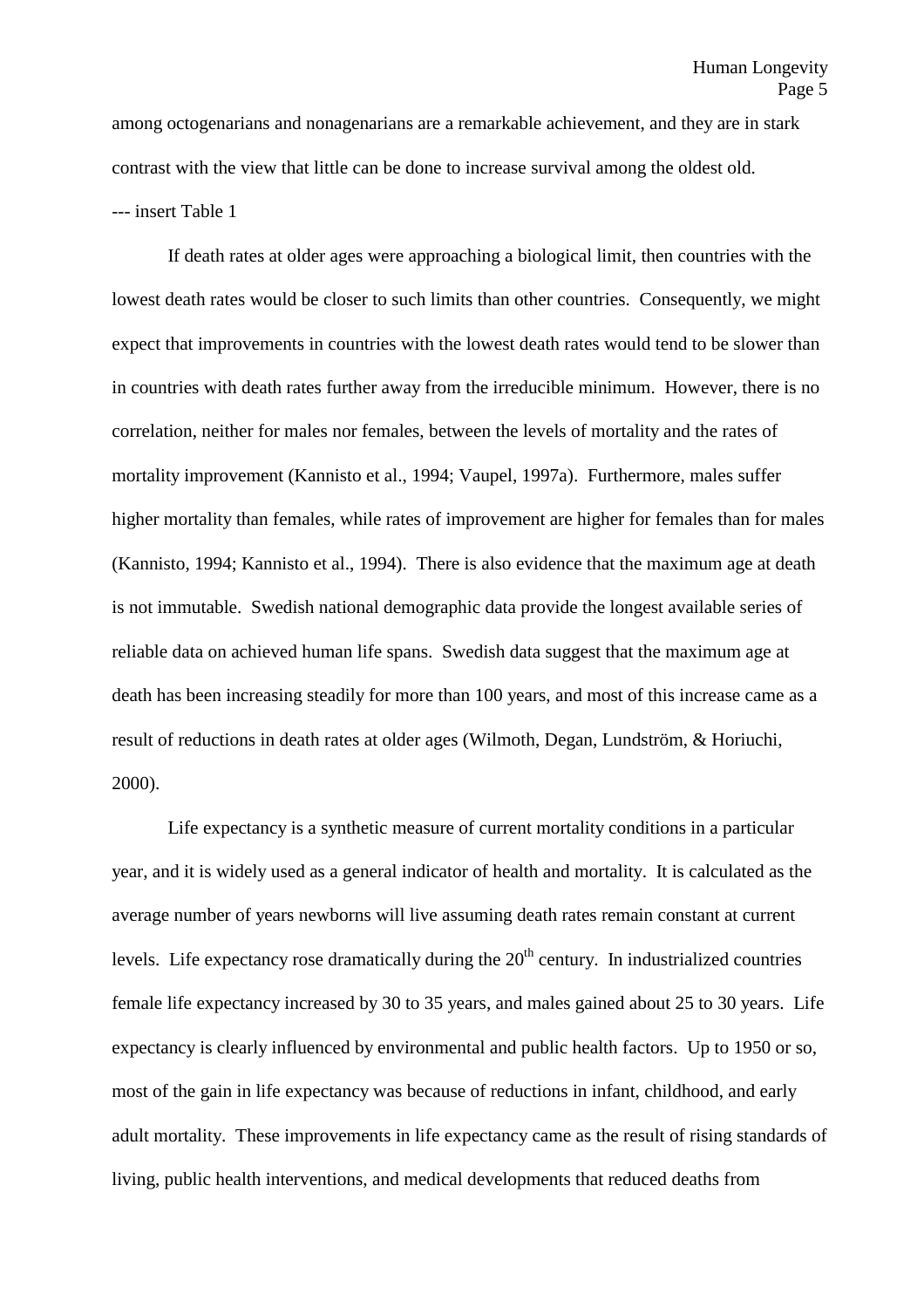among octogenarians and nonagenarians are a remarkable achievement, and they are in stark contrast with the view that little can be done to increase survival among the oldest old. --- insert Table 1

If death rates at older ages were approaching a biological limit, then countries with the lowest death rates would be closer to such limits than other countries. Consequently, we might expect that improvements in countries with the lowest death rates would tend to be slower than in countries with death rates further away from the irreducible minimum. However, there is no correlation, neither for males nor females, between the levels of mortality and the rates of mortality improvement (Kannisto et al., 1994; Vaupel, 1997a). Furthermore, males suffer higher mortality than females, while rates of improvement are higher for females than for males (Kannisto, 1994; Kannisto et al., 1994). There is also evidence that the maximum age at death is not immutable. Swedish national demographic data provide the longest available series of reliable data on achieved human life spans. Swedish data suggest that the maximum age at death has been increasing steadily for more than 100 years, and most of this increase came as a result of reductions in death rates at older ages (Wilmoth, Degan, Lundström, & Horiuchi, 2000).

Life expectancy is a synthetic measure of current mortality conditions in a particular year, and it is widely used as a general indicator of health and mortality. It is calculated as the average number of years newborns will live assuming death rates remain constant at current levels. Life expectancy rose dramatically during the  $20<sup>th</sup>$  century. In industrialized countries female life expectancy increased by 30 to 35 years, and males gained about 25 to 30 years. Life expectancy is clearly influenced by environmental and public health factors. Up to 1950 or so, most of the gain in life expectancy was because of reductions in infant, childhood, and early adult mortality. These improvements in life expectancy came as the result of rising standards of living, public health interventions, and medical developments that reduced deaths from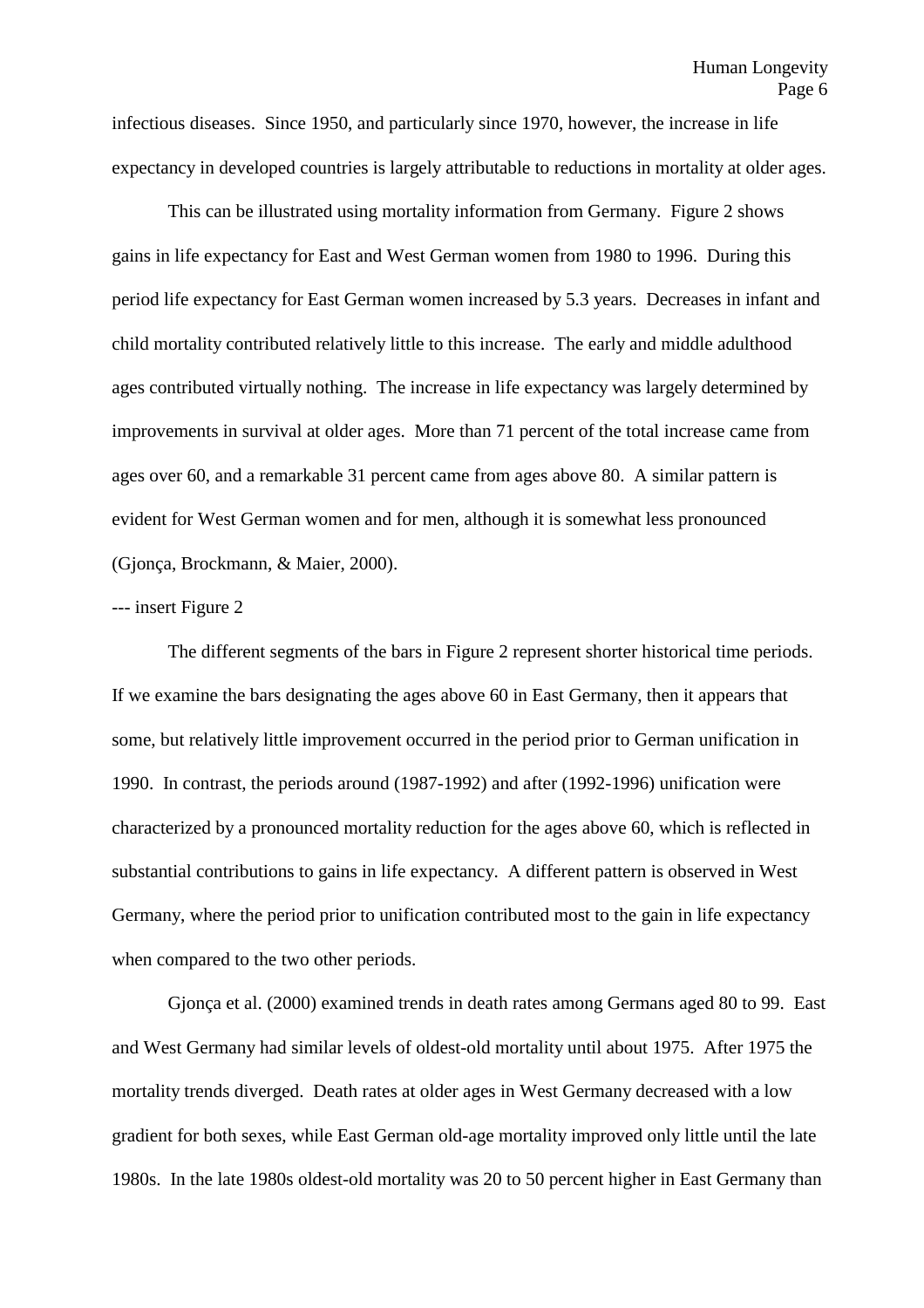infectious diseases. Since 1950, and particularly since 1970, however, the increase in life expectancy in developed countries is largely attributable to reductions in mortality at older ages.

This can be illustrated using mortality information from Germany. Figure 2 shows gains in life expectancy for East and West German women from 1980 to 1996. During this period life expectancy for East German women increased by 5.3 years. Decreases in infant and child mortality contributed relatively little to this increase. The early and middle adulthood ages contributed virtually nothing. The increase in life expectancy was largely determined by improvements in survival at older ages. More than 71 percent of the total increase came from ages over 60, and a remarkable 31 percent came from ages above 80. A similar pattern is evident for West German women and for men, although it is somewhat less pronounced (Gjonça, Brockmann, & Maier, 2000).

#### --- insert Figure 2

The different segments of the bars in Figure 2 represent shorter historical time periods. If we examine the bars designating the ages above 60 in East Germany, then it appears that some, but relatively little improvement occurred in the period prior to German unification in 1990. In contrast, the periods around (1987-1992) and after (1992-1996) unification were characterized by a pronounced mortality reduction for the ages above 60, which is reflected in substantial contributions to gains in life expectancy. A different pattern is observed in West Germany, where the period prior to unification contributed most to the gain in life expectancy when compared to the two other periods.

Gjonça et al. (2000) examined trends in death rates among Germans aged 80 to 99. East and West Germany had similar levels of oldest-old mortality until about 1975. After 1975 the mortality trends diverged. Death rates at older ages in West Germany decreased with a low gradient for both sexes, while East German old-age mortality improved only little until the late 1980s. In the late 1980s oldest-old mortality was 20 to 50 percent higher in East Germany than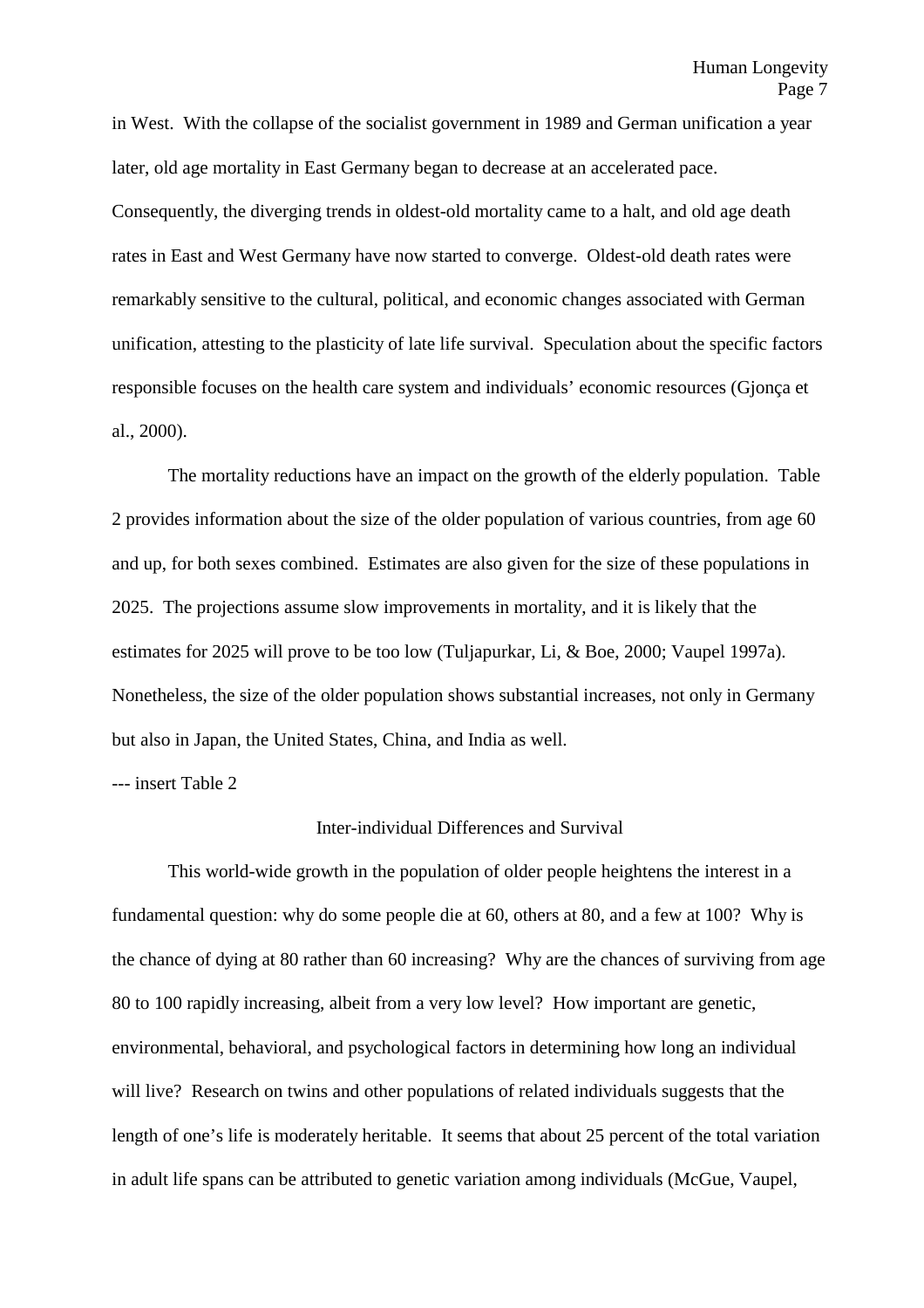in West. With the collapse of the socialist government in 1989 and German unification a year later, old age mortality in East Germany began to decrease at an accelerated pace. Consequently, the diverging trends in oldest-old mortality came to a halt, and old age death rates in East and West Germany have now started to converge. Oldest-old death rates were remarkably sensitive to the cultural, political, and economic changes associated with German unification, attesting to the plasticity of late life survival. Speculation about the specific factors responsible focuses on the health care system and individuals' economic resources (Gjonça et al., 2000).

The mortality reductions have an impact on the growth of the elderly population. Table 2 provides information about the size of the older population of various countries, from age 60 and up, for both sexes combined. Estimates are also given for the size of these populations in 2025. The projections assume slow improvements in mortality, and it is likely that the estimates for 2025 will prove to be too low (Tuljapurkar, Li, & Boe, 2000; Vaupel 1997a). Nonetheless, the size of the older population shows substantial increases, not only in Germany but also in Japan, the United States, China, and India as well.

--- insert Table 2

#### Inter-individual Differences and Survival

This world-wide growth in the population of older people heightens the interest in a fundamental question: why do some people die at 60, others at 80, and a few at 100? Why is the chance of dying at 80 rather than 60 increasing? Why are the chances of surviving from age 80 to 100 rapidly increasing, albeit from a very low level? How important are genetic, environmental, behavioral, and psychological factors in determining how long an individual will live? Research on twins and other populations of related individuals suggests that the length of one's life is moderately heritable. It seems that about 25 percent of the total variation in adult life spans can be attributed to genetic variation among individuals (McGue, Vaupel,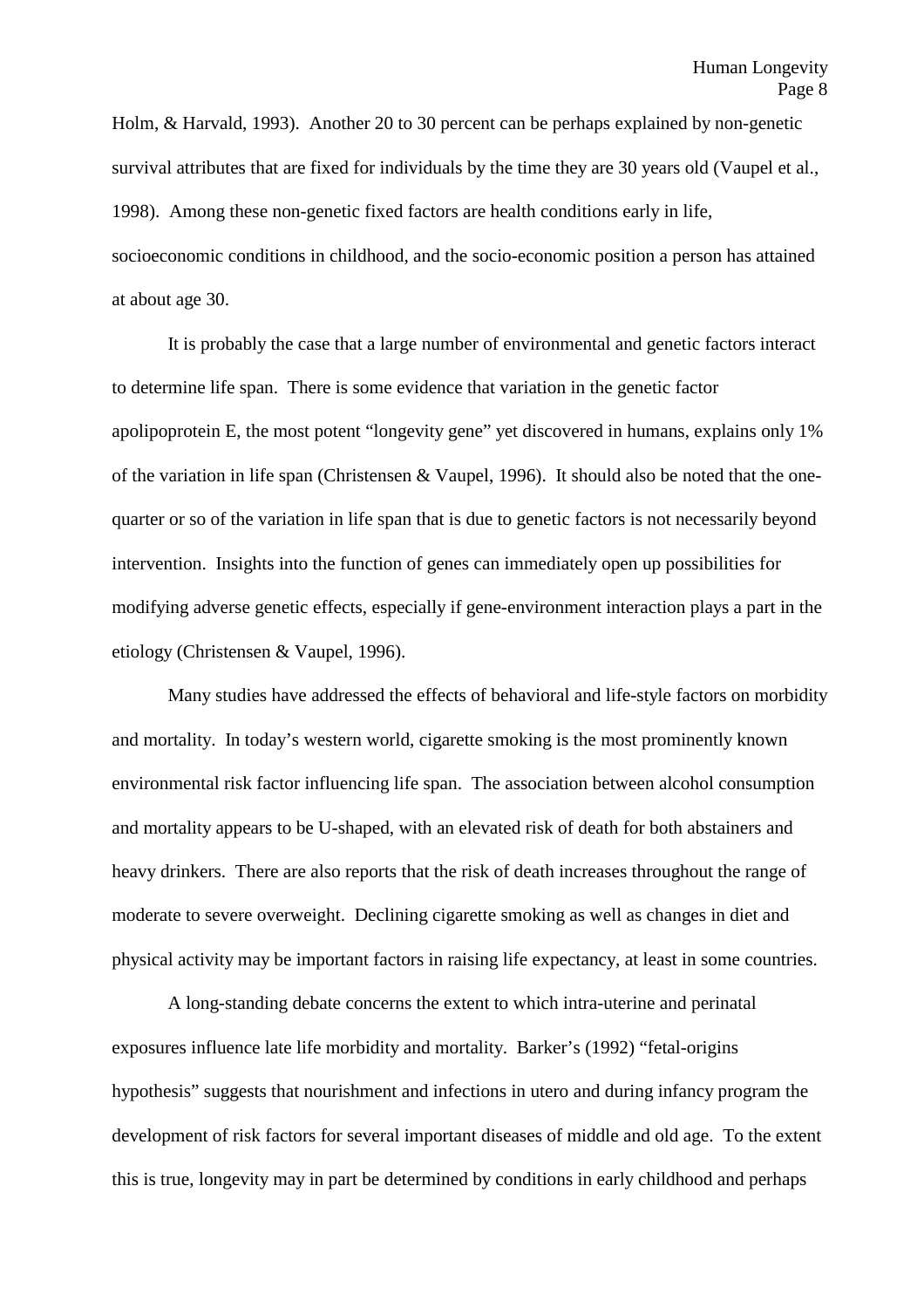Holm, & Harvald, 1993). Another 20 to 30 percent can be perhaps explained by non-genetic survival attributes that are fixed for individuals by the time they are 30 years old (Vaupel et al., 1998). Among these non-genetic fixed factors are health conditions early in life, socioeconomic conditions in childhood, and the socio-economic position a person has attained at about age 30.

It is probably the case that a large number of environmental and genetic factors interact to determine life span. There is some evidence that variation in the genetic factor apolipoprotein E, the most potent "longevity gene" yet discovered in humans, explains only 1% of the variation in life span (Christensen & Vaupel, 1996). It should also be noted that the onequarter or so of the variation in life span that is due to genetic factors is not necessarily beyond intervention. Insights into the function of genes can immediately open up possibilities for modifying adverse genetic effects, especially if gene-environment interaction plays a part in the etiology (Christensen & Vaupel, 1996).

Many studies have addressed the effects of behavioral and life-style factors on morbidity and mortality. In today's western world, cigarette smoking is the most prominently known environmental risk factor influencing life span. The association between alcohol consumption and mortality appears to be U-shaped, with an elevated risk of death for both abstainers and heavy drinkers. There are also reports that the risk of death increases throughout the range of moderate to severe overweight. Declining cigarette smoking as well as changes in diet and physical activity may be important factors in raising life expectancy, at least in some countries.

A long-standing debate concerns the extent to which intra-uterine and perinatal exposures influence late life morbidity and mortality. Barker's (1992) "fetal-origins hypothesis" suggests that nourishment and infections in utero and during infancy program the development of risk factors for several important diseases of middle and old age. To the extent this is true, longevity may in part be determined by conditions in early childhood and perhaps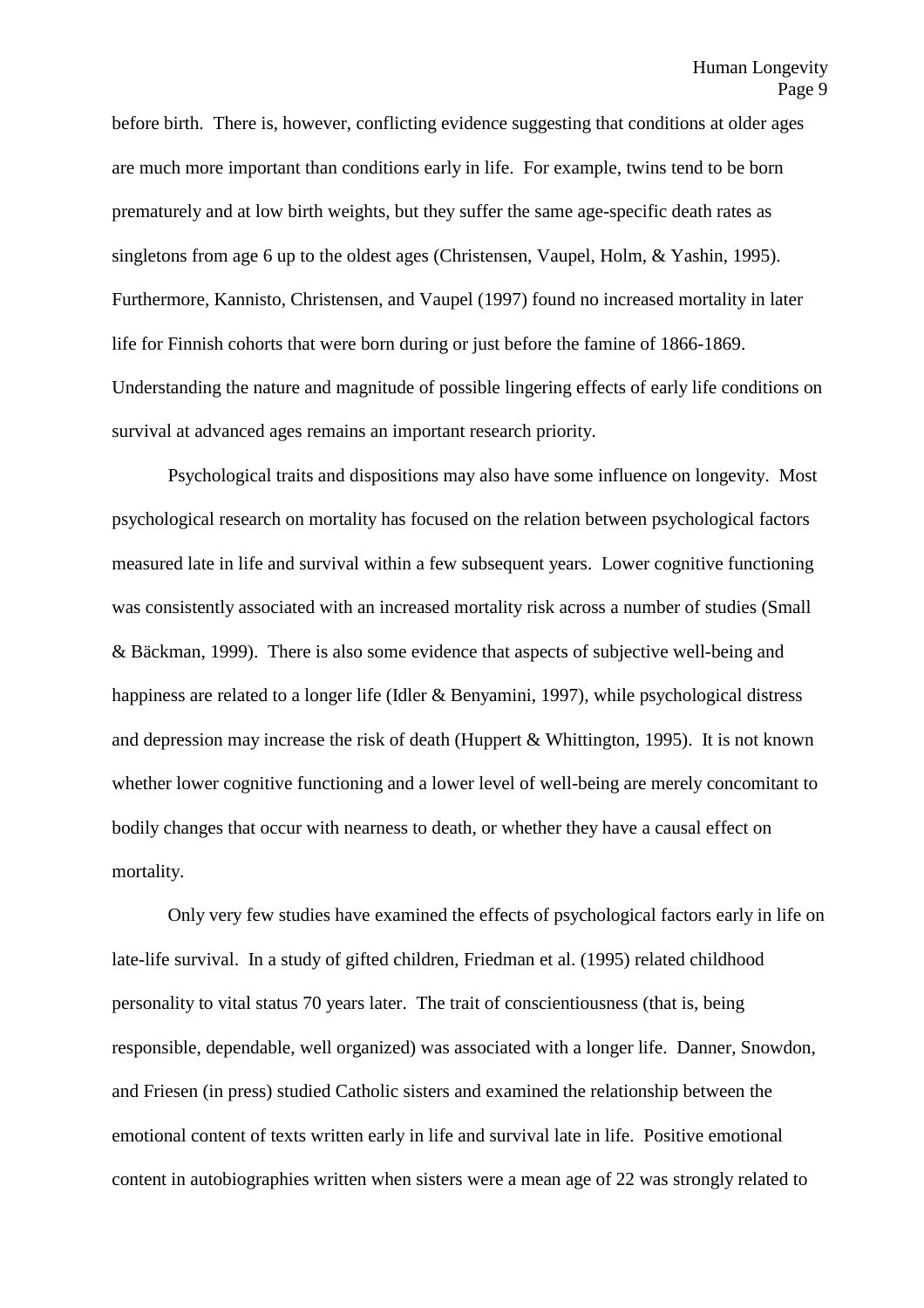before birth. There is, however, conflicting evidence suggesting that conditions at older ages are much more important than conditions early in life. For example, twins tend to be born prematurely and at low birth weights, but they suffer the same age-specific death rates as singletons from age 6 up to the oldest ages (Christensen, Vaupel, Holm, & Yashin, 1995). Furthermore, Kannisto, Christensen, and Vaupel (1997) found no increased mortality in later life for Finnish cohorts that were born during or just before the famine of 1866-1869. Understanding the nature and magnitude of possible lingering effects of early life conditions on survival at advanced ages remains an important research priority.

Psychological traits and dispositions may also have some influence on longevity. Most psychological research on mortality has focused on the relation between psychological factors measured late in life and survival within a few subsequent years. Lower cognitive functioning was consistently associated with an increased mortality risk across a number of studies (Small & Bäckman, 1999). There is also some evidence that aspects of subjective well-being and happiness are related to a longer life (Idler & Benyamini, 1997), while psychological distress and depression may increase the risk of death (Huppert & Whittington, 1995). It is not known whether lower cognitive functioning and a lower level of well-being are merely concomitant to bodily changes that occur with nearness to death, or whether they have a causal effect on mortality.

Only very few studies have examined the effects of psychological factors early in life on late-life survival. In a study of gifted children, Friedman et al. (1995) related childhood personality to vital status 70 years later. The trait of conscientiousness (that is, being responsible, dependable, well organized) was associated with a longer life. Danner, Snowdon, and Friesen (in press) studied Catholic sisters and examined the relationship between the emotional content of texts written early in life and survival late in life. Positive emotional content in autobiographies written when sisters were a mean age of 22 was strongly related to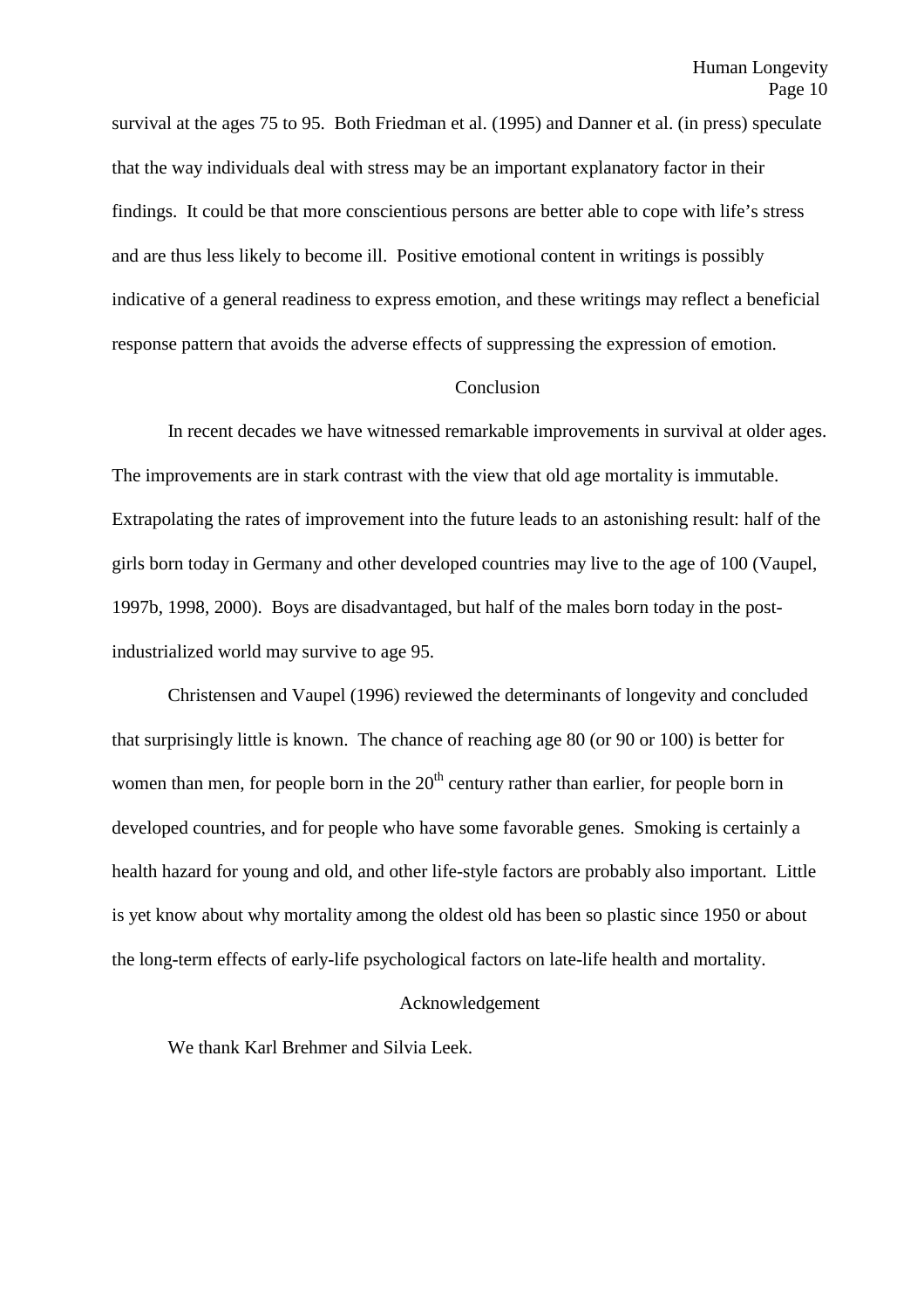survival at the ages 75 to 95. Both Friedman et al. (1995) and Danner et al. (in press) speculate that the way individuals deal with stress may be an important explanatory factor in their findings. It could be that more conscientious persons are better able to cope with life's stress and are thus less likely to become ill. Positive emotional content in writings is possibly indicative of a general readiness to express emotion, and these writings may reflect a beneficial response pattern that avoids the adverse effects of suppressing the expression of emotion.

#### Conclusion

In recent decades we have witnessed remarkable improvements in survival at older ages. The improvements are in stark contrast with the view that old age mortality is immutable. Extrapolating the rates of improvement into the future leads to an astonishing result: half of the girls born today in Germany and other developed countries may live to the age of 100 (Vaupel, 1997b, 1998, 2000). Boys are disadvantaged, but half of the males born today in the postindustrialized world may survive to age 95.

Christensen and Vaupel (1996) reviewed the determinants of longevity and concluded that surprisingly little is known. The chance of reaching age 80 (or 90 or 100) is better for women than men, for people born in the  $20<sup>th</sup>$  century rather than earlier, for people born in developed countries, and for people who have some favorable genes. Smoking is certainly a health hazard for young and old, and other life-style factors are probably also important. Little is yet know about why mortality among the oldest old has been so plastic since 1950 or about the long-term effects of early-life psychological factors on late-life health and mortality.

#### Acknowledgement

We thank Karl Brehmer and Silvia Leek.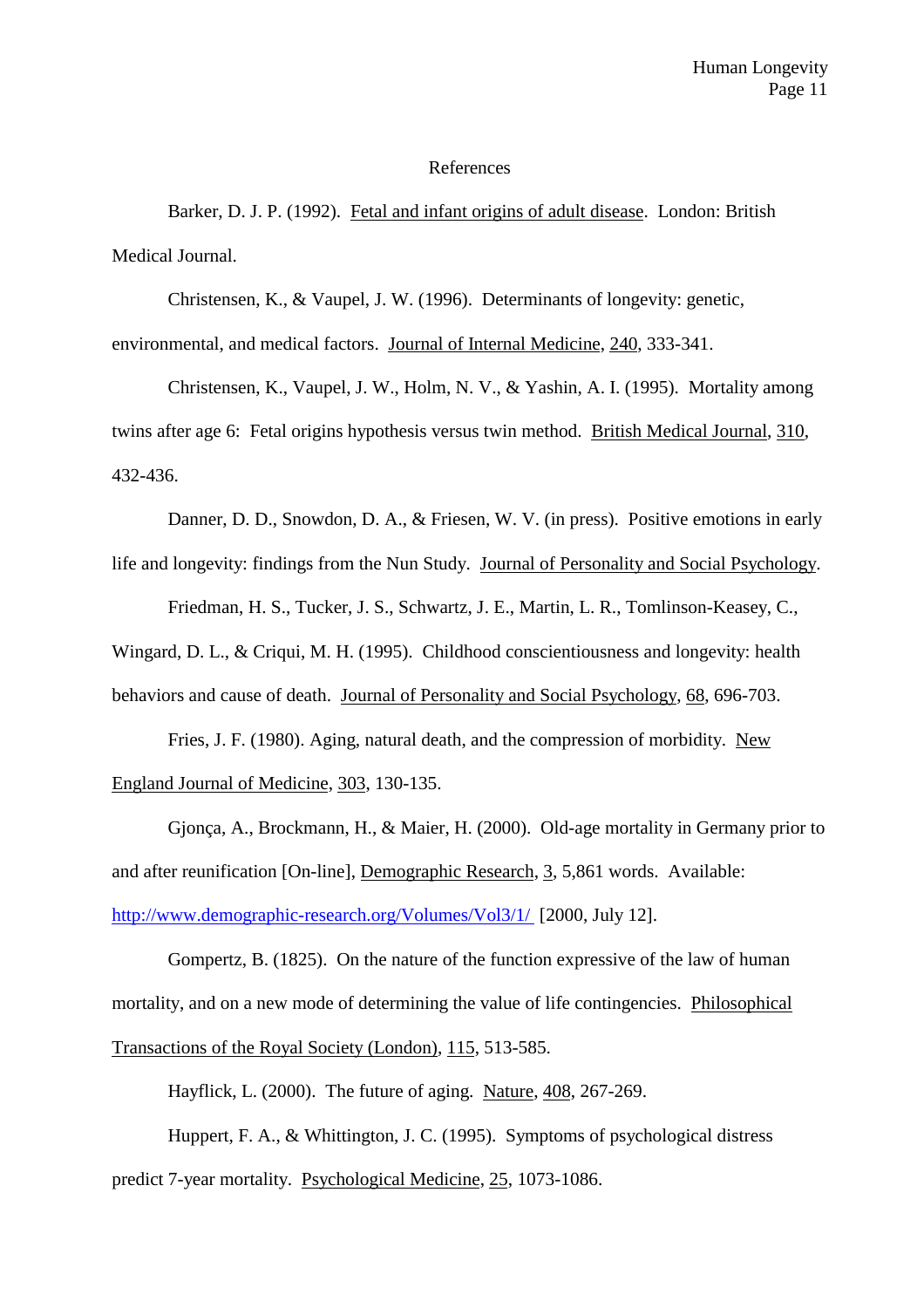#### References

Barker, D. J. P. (1992). Fetal and infant origins of adult disease. London: British Medical Journal.

Christensen, K., & Vaupel, J. W. (1996). Determinants of longevity: genetic,

environmental, and medical factors. Journal of Internal Medicine, 240, 333-341.

Christensen, K., Vaupel, J. W., Holm, N. V., & Yashin, A. I. (1995). Mortality among twins after age 6: Fetal origins hypothesis versus twin method. British Medical Journal, 310, 432-436.

Danner, D. D., Snowdon, D. A., & Friesen, W. V. (in press). Positive emotions in early life and longevity: findings from the Nun Study. Journal of Personality and Social Psychology.

Friedman, H. S., Tucker, J. S., Schwartz, J. E., Martin, L. R., Tomlinson-Keasey, C.,

Wingard, D. L., & Criqui, M. H. (1995). Childhood conscientiousness and longevity: health behaviors and cause of death. Journal of Personality and Social Psychology, 68, 696-703.

Fries, J. F. (1980). Aging, natural death, and the compression of morbidity. New England Journal of Medicine, 303, 130-135.

Gjonça, A., Brockmann, H., & Maier, H. (2000). Old-age mortality in Germany prior to and after reunification [On-line], Demographic Research, 3, 5,861 words. Available: http://www.demographic-research.org/Volumes/Vol3/1/ [2000, July 12].

Gompertz, B. (1825). On the nature of the function expressive of the law of human mortality, and on a new mode of determining the value of life contingencies. Philosophical Transactions of the Royal Society (London), 115, 513-585.

Hayflick, L. (2000). The future of aging. Nature, 408, 267-269.

Huppert, F. A., & Whittington, J. C. (1995). Symptoms of psychological distress predict 7-year mortality. Psychological Medicine, 25, 1073-1086.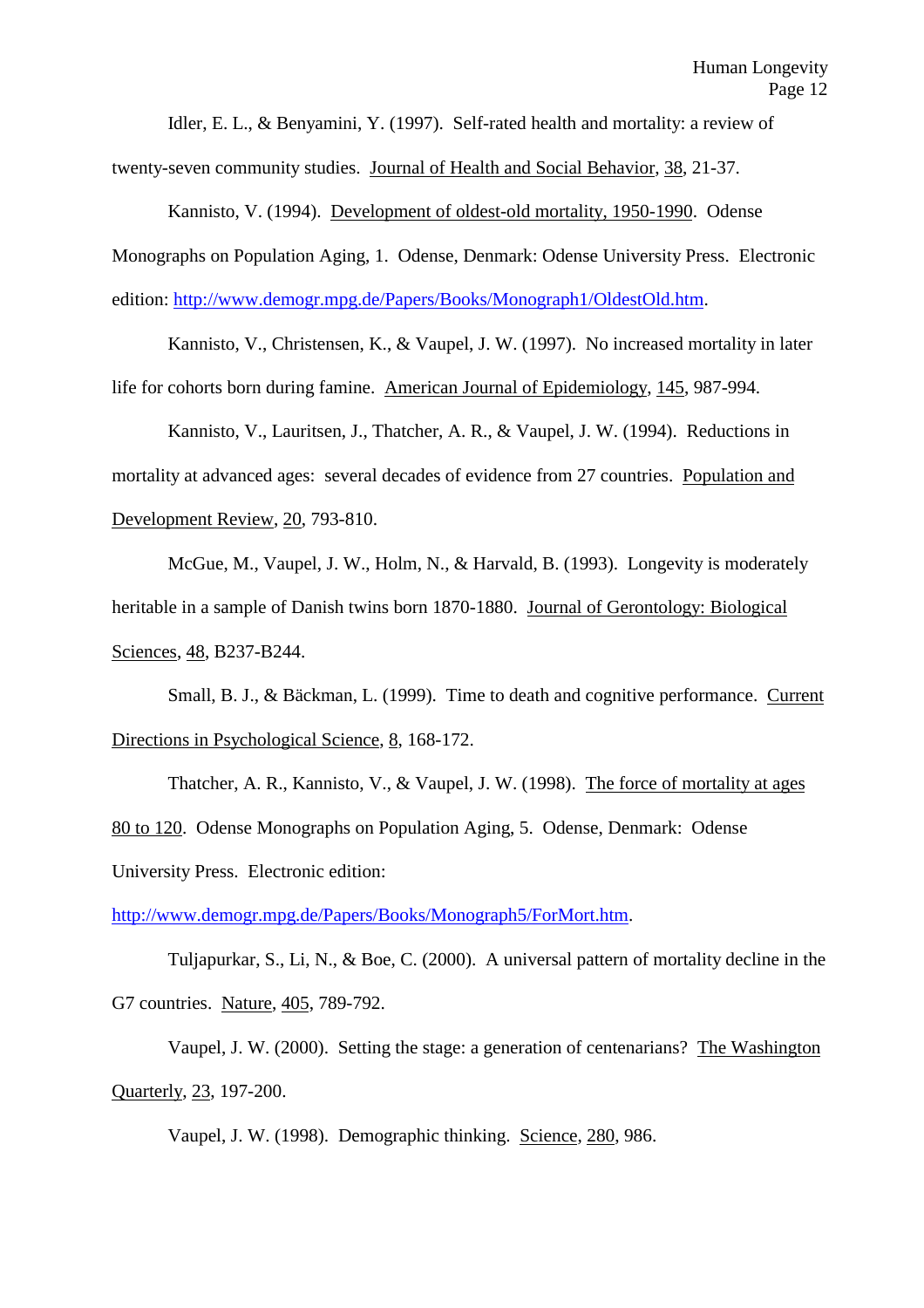Idler, E. L., & Benyamini, Y. (1997). Self-rated health and mortality: a review of twenty-seven community studies. Journal of Health and Social Behavior, 38, 21-37.

Kannisto, V. (1994). Development of oldest-old mortality, 1950-1990. Odense Monographs on Population Aging, 1. Odense, Denmark: Odense University Press. Electronic edition: http://www.demogr.mpg.de/Papers/Books/Monograph1/OldestOld.htm.

Kannisto, V., Christensen, K., & Vaupel, J. W. (1997). No increased mortality in later life for cohorts born during famine. American Journal of Epidemiology, 145, 987-994.

Kannisto, V., Lauritsen, J., Thatcher, A. R., & Vaupel, J. W. (1994). Reductions in mortality at advanced ages: several decades of evidence from 27 countries. Population and Development Review, 20, 793-810.

McGue, M., Vaupel, J. W., Holm, N., & Harvald, B. (1993). Longevity is moderately heritable in a sample of Danish twins born 1870-1880. Journal of Gerontology: Biological Sciences, 48, B237-B244.

Small, B. J., & Bäckman, L. (1999). Time to death and cognitive performance. Current Directions in Psychological Science, 8, 168-172.

Thatcher, A. R., Kannisto, V., & Vaupel, J. W. (1998). The force of mortality at ages 80 to 120. Odense Monographs on Population Aging, 5. Odense, Denmark: Odense University Press. Electronic edition:

http://www.demogr.mpg.de/Papers/Books/Monograph5/ForMort.htm.

Tuljapurkar, S., Li, N., & Boe, C. (2000). A universal pattern of mortality decline in the G7 countries. Nature, 405, 789-792.

Vaupel, J. W. (2000). Setting the stage: a generation of centenarians? The Washington Quarterly, 23, 197-200.

Vaupel, J. W. (1998). Demographic thinking. Science, 280, 986.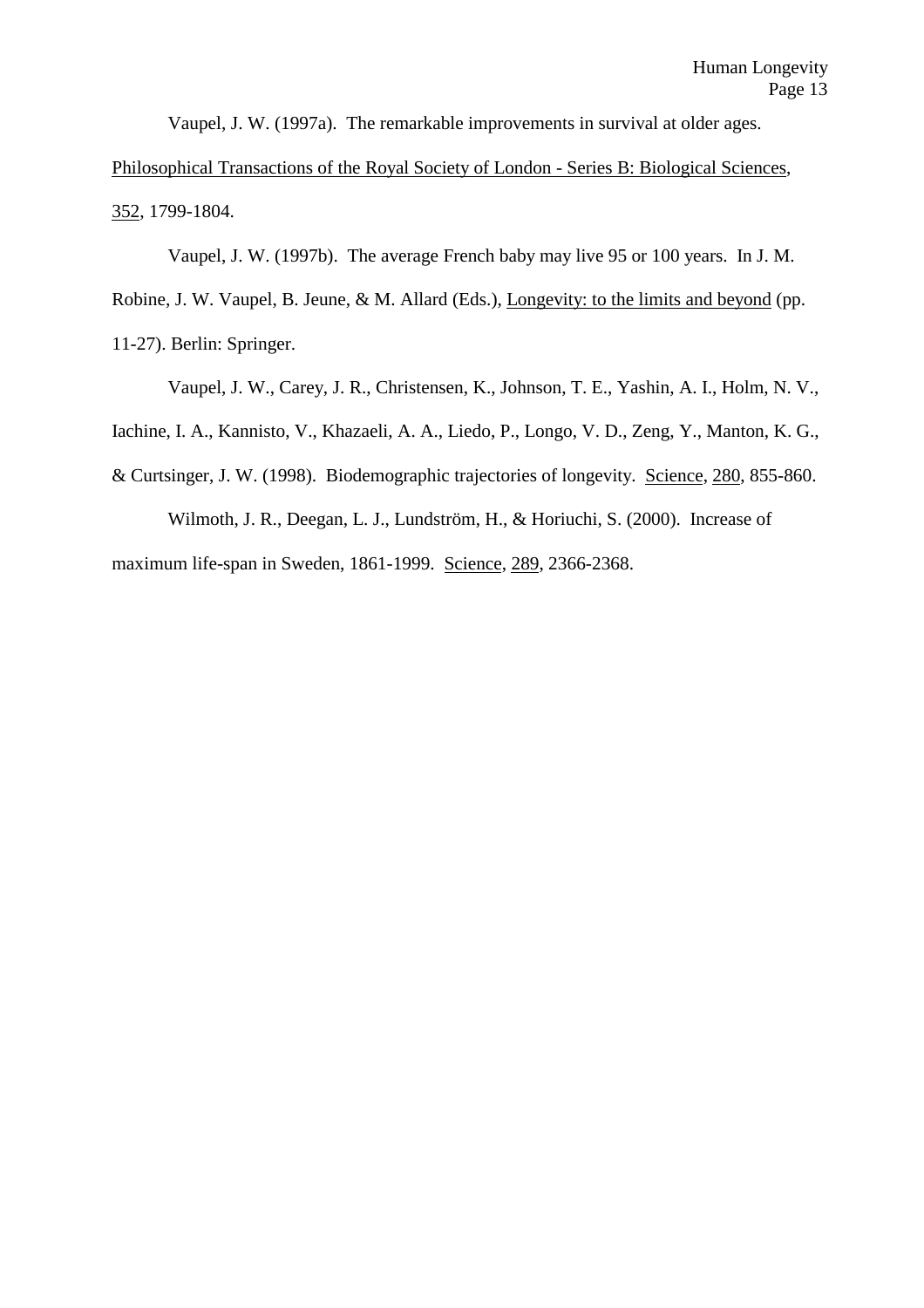Vaupel, J. W. (1997a). The remarkable improvements in survival at older ages.

Philosophical Transactions of the Royal Society of London - Series B: Biological Sciences, 352, 1799-1804.

Vaupel, J. W. (1997b). The average French baby may live 95 or 100 years. In J. M.

Robine, J. W. Vaupel, B. Jeune, & M. Allard (Eds.), Longevity: to the limits and beyond (pp.

11-27). Berlin: Springer.

Vaupel, J. W., Carey, J. R., Christensen, K., Johnson, T. E., Yashin, A. I., Holm, N. V.,

Iachine, I. A., Kannisto, V., Khazaeli, A. A., Liedo, P., Longo, V. D., Zeng, Y., Manton, K. G.,

& Curtsinger, J. W. (1998). Biodemographic trajectories of longevity. Science, 280, 855-860.

Wilmoth, J. R., Deegan, L. J., Lundström, H., & Horiuchi, S. (2000). Increase of

maximum life-span in Sweden, 1861-1999. Science, 289, 2366-2368.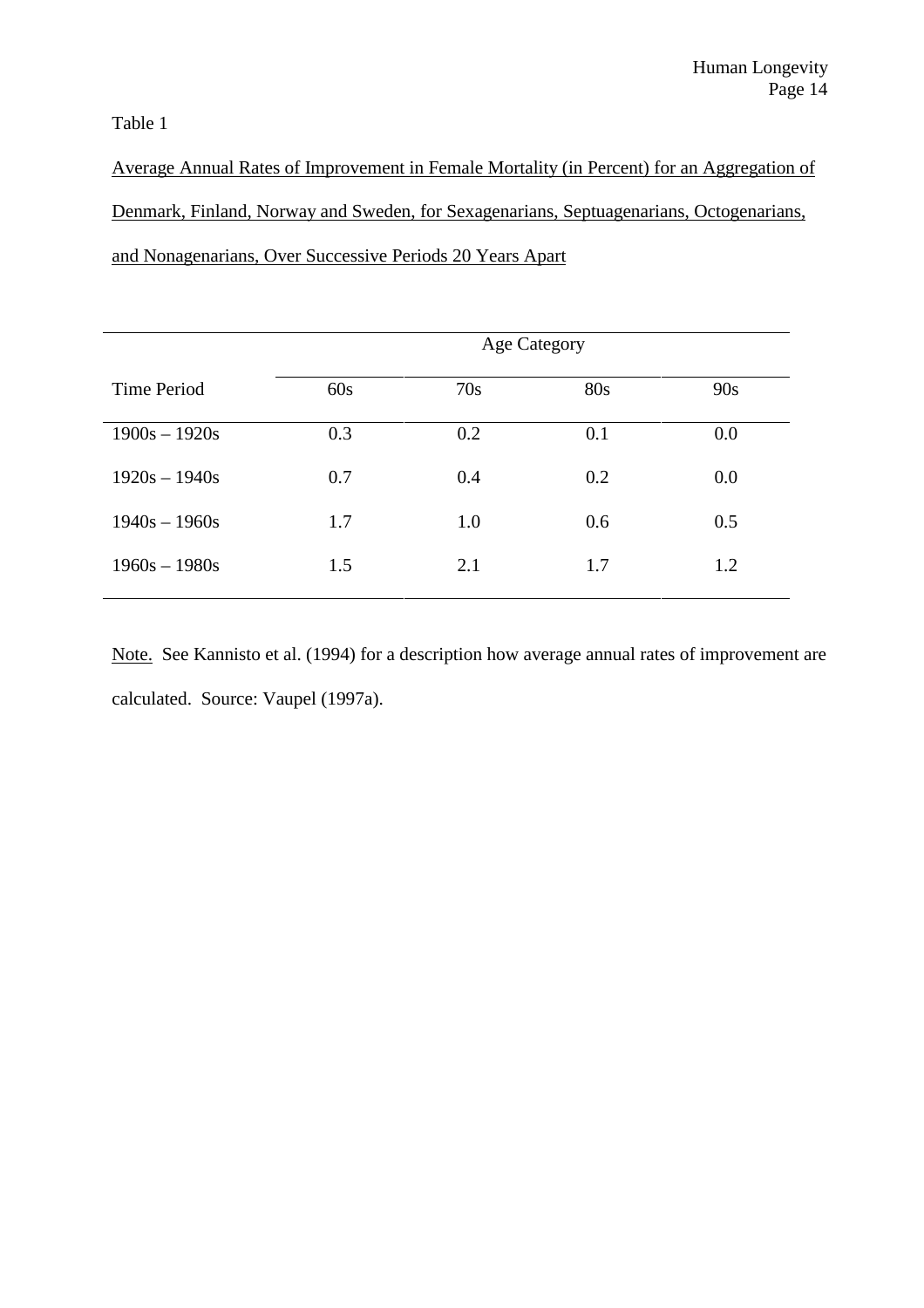Table 1

Average Annual Rates of Improvement in Female Mortality (in Percent) for an Aggregation of Denmark, Finland, Norway and Sweden, for Sexagenarians, Septuagenarians, Octogenarians, and Nonagenarians, Over Successive Periods 20 Years Apart

|                    | <b>Age Category</b> |     |     |     |  |
|--------------------|---------------------|-----|-----|-----|--|
| <b>Time Period</b> | 60s                 | 70s | 80s | 90s |  |
| $1900s - 1920s$    | 0.3                 | 0.2 | 0.1 | 0.0 |  |
| $1920s - 1940s$    | 0.7                 | 0.4 | 0.2 | 0.0 |  |
| $1940s - 1960s$    | 1.7                 | 1.0 | 0.6 | 0.5 |  |
| $1960s - 1980s$    | 1.5                 | 2.1 | 1.7 | 1.2 |  |

Note. See Kannisto et al. (1994) for a description how average annual rates of improvement are calculated. Source: Vaupel (1997a).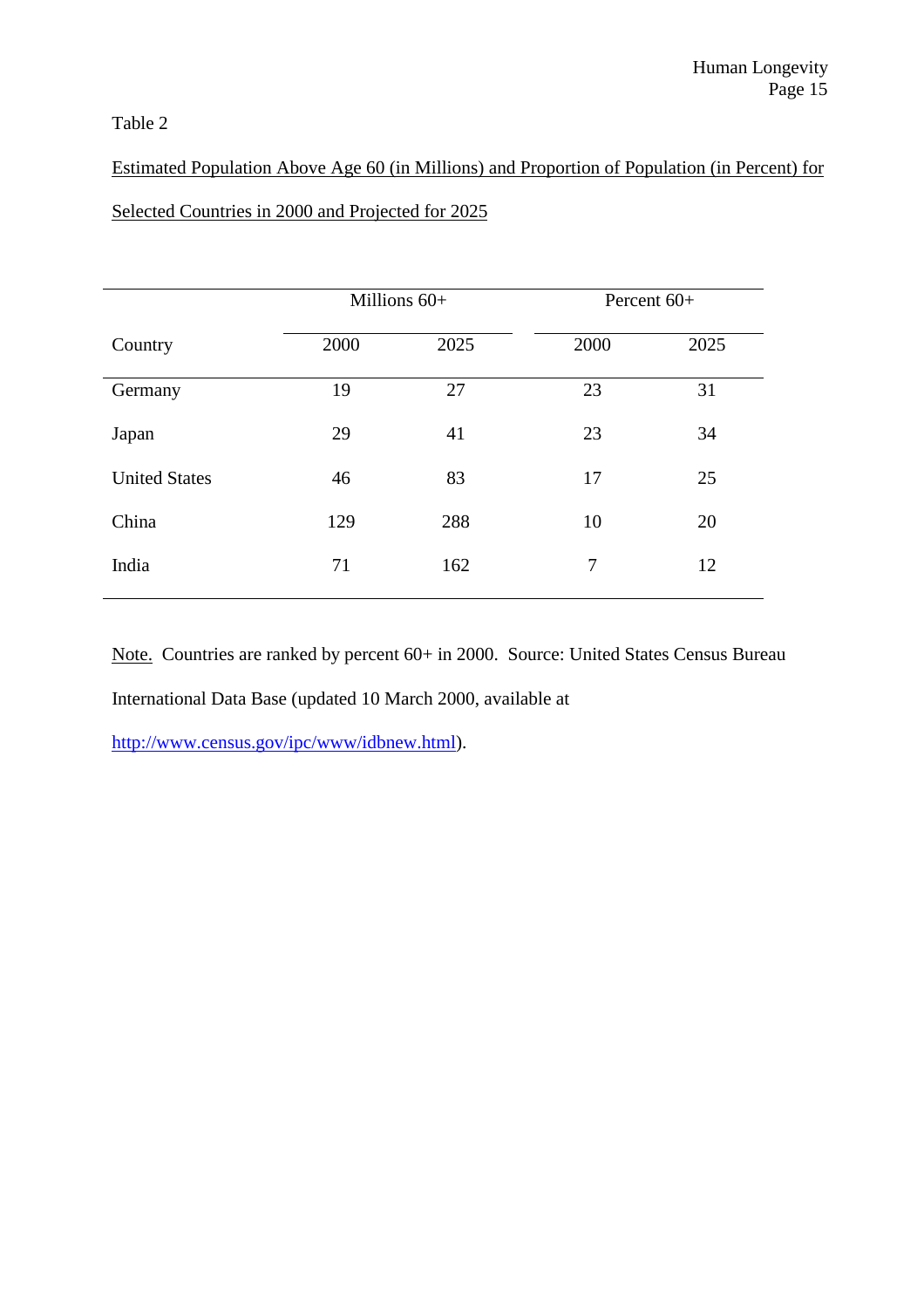## Table 2

# Estimated Population Above Age 60 (in Millions) and Proportion of Population (in Percent) for Selected Countries in 2000 and Projected for 2025

|                      | Millions $60+$ |      | Percent $60+$ |      |
|----------------------|----------------|------|---------------|------|
| Country              | 2000           | 2025 | 2000          | 2025 |
| Germany              | 19             | 27   | 23            | 31   |
| Japan                | 29             | 41   | 23            | 34   |
| <b>United States</b> | 46             | 83   | 17            | 25   |
| China                | 129            | 288  | 10            | 20   |
| India                | 71             | 162  | 7             | 12   |

Note. Countries are ranked by percent 60+ in 2000. Source: United States Census Bureau International Data Base (updated 10 March 2000, available at

http://www.census.gov/ipc/www/idbnew.html).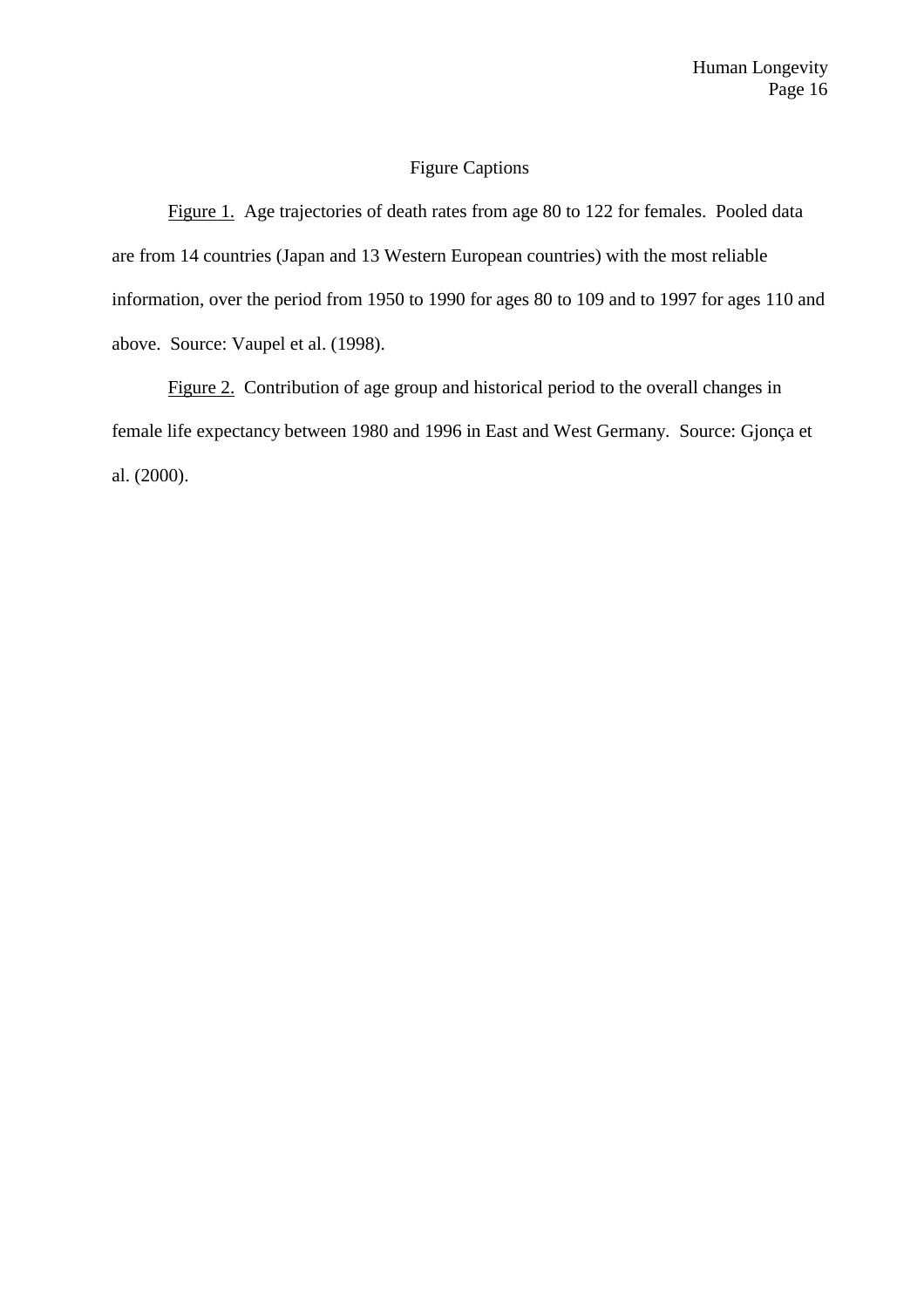### Figure Captions

Figure 1. Age trajectories of death rates from age 80 to 122 for females. Pooled data are from 14 countries (Japan and 13 Western European countries) with the most reliable information, over the period from 1950 to 1990 for ages 80 to 109 and to 1997 for ages 110 and above. Source: Vaupel et al. (1998).

Figure 2. Contribution of age group and historical period to the overall changes in female life expectancy between 1980 and 1996 in East and West Germany. Source: Gjonça et al. (2000).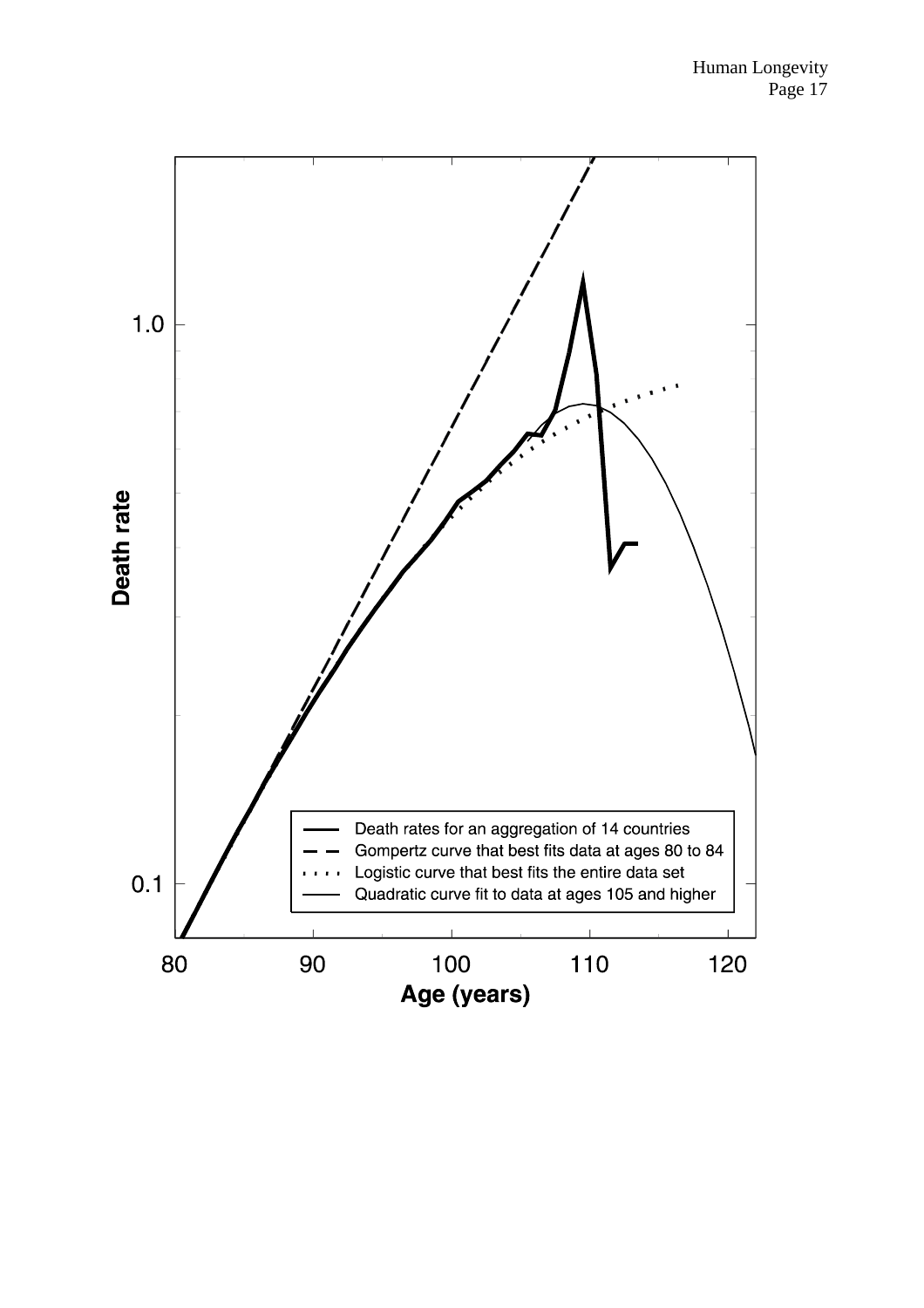